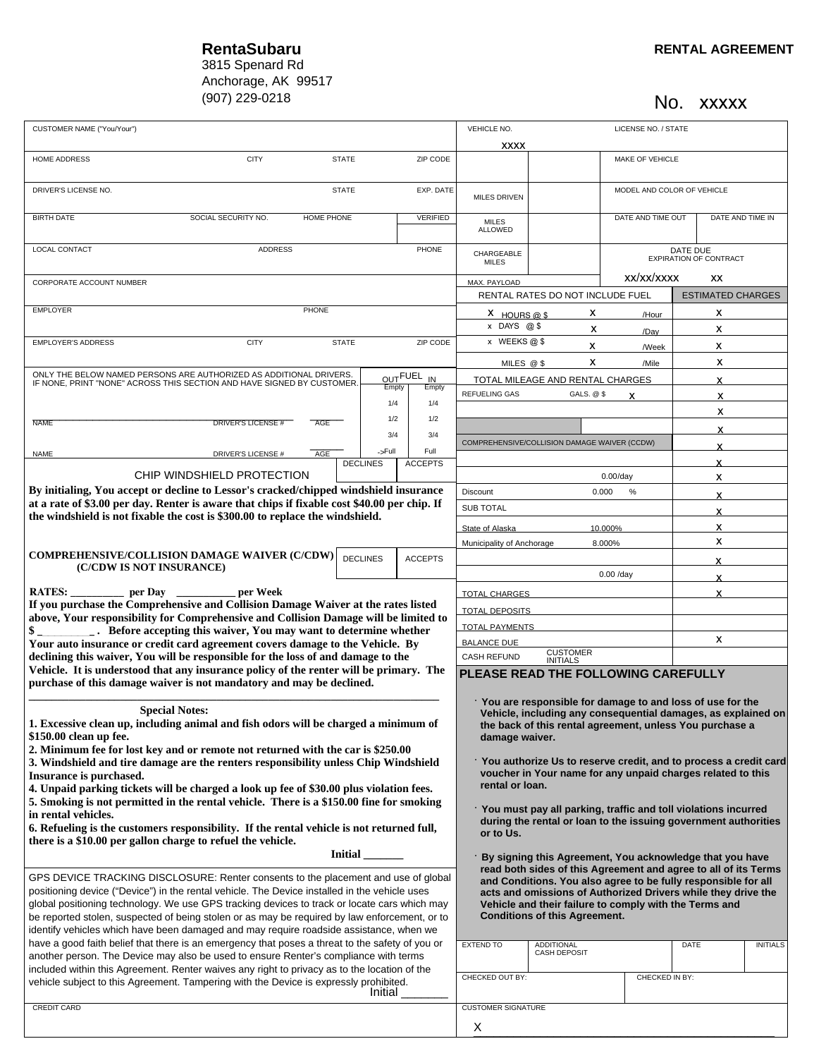## 3815 Spenard Rd Anchorage, AK 99517  $(907)$  229-0218

No. xxxxx

| CUSTOMER NAME ("You/Your")                                                                                                                                                                                                                                                                                                                                                                                                                                                                                                                                                                                                                                                                                                                                                                                                   |                             |              |                 |                                                                                                                                                                                                                                                                                                                                                                                                                                                                                                                                                                                                                                                                                                                       | VEHICLE NO.<br>LICENSE NO. / STATE                               |                                                                                                                                                                                                             |                                           |                          |                 |
|------------------------------------------------------------------------------------------------------------------------------------------------------------------------------------------------------------------------------------------------------------------------------------------------------------------------------------------------------------------------------------------------------------------------------------------------------------------------------------------------------------------------------------------------------------------------------------------------------------------------------------------------------------------------------------------------------------------------------------------------------------------------------------------------------------------------------|-----------------------------|--------------|-----------------|-----------------------------------------------------------------------------------------------------------------------------------------------------------------------------------------------------------------------------------------------------------------------------------------------------------------------------------------------------------------------------------------------------------------------------------------------------------------------------------------------------------------------------------------------------------------------------------------------------------------------------------------------------------------------------------------------------------------------|------------------------------------------------------------------|-------------------------------------------------------------------------------------------------------------------------------------------------------------------------------------------------------------|-------------------------------------------|--------------------------|-----------------|
|                                                                                                                                                                                                                                                                                                                                                                                                                                                                                                                                                                                                                                                                                                                                                                                                                              |                             |              |                 |                                                                                                                                                                                                                                                                                                                                                                                                                                                                                                                                                                                                                                                                                                                       | <b>XXXX</b>                                                      |                                                                                                                                                                                                             |                                           |                          |                 |
| HOME ADDRESS                                                                                                                                                                                                                                                                                                                                                                                                                                                                                                                                                                                                                                                                                                                                                                                                                 | <b>CITY</b><br><b>STATE</b> |              |                 | ZIP CODE                                                                                                                                                                                                                                                                                                                                                                                                                                                                                                                                                                                                                                                                                                              |                                                                  |                                                                                                                                                                                                             | MAKE OF VEHICLE                           |                          |                 |
| DRIVER'S LICENSE NO.<br><b>STATE</b>                                                                                                                                                                                                                                                                                                                                                                                                                                                                                                                                                                                                                                                                                                                                                                                         |                             |              | EXP. DATE       | <b>MILES DRIVEN</b>                                                                                                                                                                                                                                                                                                                                                                                                                                                                                                                                                                                                                                                                                                   |                                                                  |                                                                                                                                                                                                             | MODEL AND COLOR OF VEHICLE                |                          |                 |
| <b>BIRTH DATE</b>                                                                                                                                                                                                                                                                                                                                                                                                                                                                                                                                                                                                                                                                                                                                                                                                            | SOCIAL SECURITY NO.         | HOME PHONE   |                 | <b>VERIFIED</b>                                                                                                                                                                                                                                                                                                                                                                                                                                                                                                                                                                                                                                                                                                       | <b>MILES</b><br>ALLOWED                                          |                                                                                                                                                                                                             | DATE AND TIME OUT                         | DATE AND TIME IN         |                 |
| LOCAL CONTACT<br><b>ADDRESS</b><br>PHONE                                                                                                                                                                                                                                                                                                                                                                                                                                                                                                                                                                                                                                                                                                                                                                                     |                             |              |                 |                                                                                                                                                                                                                                                                                                                                                                                                                                                                                                                                                                                                                                                                                                                       | CHARGEABLE<br><b>MILES</b>                                       |                                                                                                                                                                                                             | DATE DUE<br><b>EXPIRATION OF CONTRACT</b> |                          |                 |
|                                                                                                                                                                                                                                                                                                                                                                                                                                                                                                                                                                                                                                                                                                                                                                                                                              |                             |              |                 |                                                                                                                                                                                                                                                                                                                                                                                                                                                                                                                                                                                                                                                                                                                       | xx/xx/xxxx<br>XX                                                 |                                                                                                                                                                                                             |                                           |                          |                 |
| CORPORATE ACCOUNT NUMBER                                                                                                                                                                                                                                                                                                                                                                                                                                                                                                                                                                                                                                                                                                                                                                                                     |                             |              |                 |                                                                                                                                                                                                                                                                                                                                                                                                                                                                                                                                                                                                                                                                                                                       | MAX. PAYLOAD                                                     | RENTAL RATES DO NOT INCLUDE FUEL                                                                                                                                                                            |                                           | <b>ESTIMATED CHARGES</b> |                 |
| PHONE<br><b>EMPLOYER</b>                                                                                                                                                                                                                                                                                                                                                                                                                                                                                                                                                                                                                                                                                                                                                                                                     |                             |              |                 |                                                                                                                                                                                                                                                                                                                                                                                                                                                                                                                                                                                                                                                                                                                       | X HOURS @ \$                                                     | х                                                                                                                                                                                                           | /Hour                                     | x                        |                 |
|                                                                                                                                                                                                                                                                                                                                                                                                                                                                                                                                                                                                                                                                                                                                                                                                                              |                             |              |                 |                                                                                                                                                                                                                                                                                                                                                                                                                                                                                                                                                                                                                                                                                                                       | x DAYS @\$                                                       | X                                                                                                                                                                                                           | /Day                                      | x                        |                 |
| <b>EMPLOYER'S ADDRESS</b>                                                                                                                                                                                                                                                                                                                                                                                                                                                                                                                                                                                                                                                                                                                                                                                                    | <b>CITY</b>                 | <b>STATE</b> |                 | ZIP CODE                                                                                                                                                                                                                                                                                                                                                                                                                                                                                                                                                                                                                                                                                                              | x WEEKS@\$                                                       | x                                                                                                                                                                                                           | <b>/Week</b>                              | x                        |                 |
| ONLY THE BELOW NAMED PERSONS ARE AUTHORIZED AS ADDITIONAL DRIVERS.                                                                                                                                                                                                                                                                                                                                                                                                                                                                                                                                                                                                                                                                                                                                                           |                             |              |                 |                                                                                                                                                                                                                                                                                                                                                                                                                                                                                                                                                                                                                                                                                                                       |                                                                  | х<br>MILES @ \$                                                                                                                                                                                             | /Mile                                     | x                        |                 |
| IF NONE, PRINT "NONE" ACROSS THIS SECTION AND HAVE SIGNED BY CUSTOMER.                                                                                                                                                                                                                                                                                                                                                                                                                                                                                                                                                                                                                                                                                                                                                       |                             |              | Empty           | OUTFUEL<br>IN<br>Empty                                                                                                                                                                                                                                                                                                                                                                                                                                                                                                                                                                                                                                                                                                |                                                                  | TOTAL MILEAGE AND RENTAL CHARGES                                                                                                                                                                            |                                           | X                        |                 |
|                                                                                                                                                                                                                                                                                                                                                                                                                                                                                                                                                                                                                                                                                                                                                                                                                              |                             |              | 1/4             | 1/4                                                                                                                                                                                                                                                                                                                                                                                                                                                                                                                                                                                                                                                                                                                   | <b>REFUELING GAS</b>                                             | GALS. @ \$                                                                                                                                                                                                  | x                                         | x                        |                 |
|                                                                                                                                                                                                                                                                                                                                                                                                                                                                                                                                                                                                                                                                                                                                                                                                                              |                             |              | 1/2             | 1/2                                                                                                                                                                                                                                                                                                                                                                                                                                                                                                                                                                                                                                                                                                                   |                                                                  |                                                                                                                                                                                                             |                                           | x                        |                 |
| <b>NAME</b>                                                                                                                                                                                                                                                                                                                                                                                                                                                                                                                                                                                                                                                                                                                                                                                                                  | <b>DRIVER'S LICENSE #</b>   | <b>AGE</b>   | 3/4             | 3/4                                                                                                                                                                                                                                                                                                                                                                                                                                                                                                                                                                                                                                                                                                                   |                                                                  |                                                                                                                                                                                                             |                                           | x                        |                 |
|                                                                                                                                                                                                                                                                                                                                                                                                                                                                                                                                                                                                                                                                                                                                                                                                                              |                             |              | ->Full          | Full                                                                                                                                                                                                                                                                                                                                                                                                                                                                                                                                                                                                                                                                                                                  |                                                                  | COMPREHENSIVE/COLLISION DAMAGE WAIVER (CCDW)                                                                                                                                                                |                                           | x                        |                 |
| <b>NAME</b>                                                                                                                                                                                                                                                                                                                                                                                                                                                                                                                                                                                                                                                                                                                                                                                                                  | DRIVER'S LICENSE #          | AGE          | <b>DECLINES</b> | <b>ACCEPTS</b>                                                                                                                                                                                                                                                                                                                                                                                                                                                                                                                                                                                                                                                                                                        |                                                                  |                                                                                                                                                                                                             |                                           | x                        |                 |
| CHIP WINDSHIELD PROTECTION                                                                                                                                                                                                                                                                                                                                                                                                                                                                                                                                                                                                                                                                                                                                                                                                   |                             |              |                 |                                                                                                                                                                                                                                                                                                                                                                                                                                                                                                                                                                                                                                                                                                                       |                                                                  |                                                                                                                                                                                                             | $0.00$ /day                               | х                        |                 |
| By initialing, You accept or decline to Lessor's cracked/chipped windshield insurance                                                                                                                                                                                                                                                                                                                                                                                                                                                                                                                                                                                                                                                                                                                                        |                             |              |                 |                                                                                                                                                                                                                                                                                                                                                                                                                                                                                                                                                                                                                                                                                                                       | <b>Discount</b>                                                  |                                                                                                                                                                                                             | 0.000<br>%                                | x                        |                 |
| at a rate of \$3.00 per day. Renter is aware that chips if fixable cost \$40.00 per chip. If<br>the windshield is not fixable the cost is \$300.00 to replace the windshield.                                                                                                                                                                                                                                                                                                                                                                                                                                                                                                                                                                                                                                                |                             |              |                 |                                                                                                                                                                                                                                                                                                                                                                                                                                                                                                                                                                                                                                                                                                                       | <b>SUB TOTAL</b>                                                 |                                                                                                                                                                                                             |                                           | x                        |                 |
|                                                                                                                                                                                                                                                                                                                                                                                                                                                                                                                                                                                                                                                                                                                                                                                                                              |                             |              |                 |                                                                                                                                                                                                                                                                                                                                                                                                                                                                                                                                                                                                                                                                                                                       | State of Alaska                                                  |                                                                                                                                                                                                             | 10.000%                                   | x                        |                 |
|                                                                                                                                                                                                                                                                                                                                                                                                                                                                                                                                                                                                                                                                                                                                                                                                                              |                             |              |                 |                                                                                                                                                                                                                                                                                                                                                                                                                                                                                                                                                                                                                                                                                                                       | Municipality of Anchorage                                        |                                                                                                                                                                                                             | 8.000%                                    | x                        |                 |
| <b>COMPREHENSIVE/COLLISION DAMAGE WAIVER (C/CDW)</b>                                                                                                                                                                                                                                                                                                                                                                                                                                                                                                                                                                                                                                                                                                                                                                         |                             |              | <b>DECLINES</b> | <b>ACCEPTS</b>                                                                                                                                                                                                                                                                                                                                                                                                                                                                                                                                                                                                                                                                                                        |                                                                  |                                                                                                                                                                                                             |                                           | x                        |                 |
| (C/CDW IS NOT INSURANCE)                                                                                                                                                                                                                                                                                                                                                                                                                                                                                                                                                                                                                                                                                                                                                                                                     |                             |              |                 |                                                                                                                                                                                                                                                                                                                                                                                                                                                                                                                                                                                                                                                                                                                       |                                                                  |                                                                                                                                                                                                             | $0.00$ /day                               | x                        |                 |
| RATES: per Day<br>per Week<br>If you purchase the Comprehensive and Collision Damage Waiver at the rates listed<br>above, Your responsibility for Comprehensive and Collision Damage will be limited to<br><b>EXAMPLE 1.1 Before accepting this waiver, You may want to determine whether</b><br>Your auto insurance or credit card agreement covers damage to the Vehicle. By<br>declining this waiver, You will be responsible for the loss of and damage to the                                                                                                                                                                                                                                                                                                                                                           |                             |              |                 |                                                                                                                                                                                                                                                                                                                                                                                                                                                                                                                                                                                                                                                                                                                       | <b>TOTAL CHARGES</b>                                             |                                                                                                                                                                                                             |                                           | x                        |                 |
|                                                                                                                                                                                                                                                                                                                                                                                                                                                                                                                                                                                                                                                                                                                                                                                                                              |                             |              |                 |                                                                                                                                                                                                                                                                                                                                                                                                                                                                                                                                                                                                                                                                                                                       |                                                                  |                                                                                                                                                                                                             |                                           |                          |                 |
|                                                                                                                                                                                                                                                                                                                                                                                                                                                                                                                                                                                                                                                                                                                                                                                                                              |                             |              |                 |                                                                                                                                                                                                                                                                                                                                                                                                                                                                                                                                                                                                                                                                                                                       | <b>TOTAL DEPOSITS</b>                                            |                                                                                                                                                                                                             |                                           |                          |                 |
|                                                                                                                                                                                                                                                                                                                                                                                                                                                                                                                                                                                                                                                                                                                                                                                                                              |                             |              |                 |                                                                                                                                                                                                                                                                                                                                                                                                                                                                                                                                                                                                                                                                                                                       | <b>TOTAL PAYMENTS</b>                                            |                                                                                                                                                                                                             |                                           | X                        |                 |
|                                                                                                                                                                                                                                                                                                                                                                                                                                                                                                                                                                                                                                                                                                                                                                                                                              |                             |              |                 |                                                                                                                                                                                                                                                                                                                                                                                                                                                                                                                                                                                                                                                                                                                       | <b>BALANCE DUE</b><br>CUSTOMER<br>INITIALS<br><b>CASH REFUND</b> |                                                                                                                                                                                                             |                                           |                          |                 |
| Vehicle. It is understood that any insurance policy of the renter will be primary. The                                                                                                                                                                                                                                                                                                                                                                                                                                                                                                                                                                                                                                                                                                                                       |                             |              |                 |                                                                                                                                                                                                                                                                                                                                                                                                                                                                                                                                                                                                                                                                                                                       | PLEASE READ THE FOLLOWING CAREFULLY                              |                                                                                                                                                                                                             |                                           |                          |                 |
| purchase of this damage waiver is not mandatory and may be declined.                                                                                                                                                                                                                                                                                                                                                                                                                                                                                                                                                                                                                                                                                                                                                         |                             |              |                 |                                                                                                                                                                                                                                                                                                                                                                                                                                                                                                                                                                                                                                                                                                                       |                                                                  |                                                                                                                                                                                                             |                                           |                          |                 |
| <b>Special Notes:</b><br>1. Excessive clean up, including animal and fish odors will be charged a minimum of<br>\$150.00 clean up fee.<br>2. Minimum fee for lost key and or remote not returned with the car is \$250.00<br>3. Windshield and tire damage are the renters responsibility unless Chip Windshield<br>Insurance is purchased.<br>4. Unpaid parking tickets will be charged a look up fee of \$30.00 plus violation fees.<br>5. Smoking is not permitted in the rental vehicle. There is a \$150.00 fine for smoking<br>in rental vehicles.<br>6. Refueling is the customers responsibility. If the rental vehicle is not returned full,<br>there is a \$10.00 per gallon charge to refuel the vehicle.<br><b>Initial</b><br>GPS DEVICE TRACKING DISCLOSURE: Renter consents to the placement and use of global |                             |              |                 | • You are responsible for damage to and loss of use for the<br>Vehicle, including any consequential damages, as explained on<br>the back of this rental agreement, unless You purchase a<br>damage waiver.<br>You authorize Us to reserve credit, and to process a credit card<br>voucher in Your name for any unpaid charges related to this<br>rental or loan.<br>· You must pay all parking, traffic and toll violations incurred<br>during the rental or loan to the issuing government authorities<br>or to Us.<br>By signing this Agreement, You acknowledge that you have<br>read both sides of this Agreement and agree to all of its Terms<br>and Conditions. You also agree to be fully responsible for all |                                                                  |                                                                                                                                                                                                             |                                           |                          |                 |
| positioning device ("Device") in the rental vehicle. The Device installed in the vehicle uses<br>global positioning technology. We use GPS tracking devices to track or locate cars which may<br>be reported stolen, suspected of being stolen or as may be required by law enforcement, or to<br>identify vehicles which have been damaged and may require roadside assistance, when we<br>have a good faith belief that there is an emergency that poses a threat to the safety of you or<br>another person. The Device may also be used to ensure Renter's compliance with terms<br>included within this Agreement. Renter waives any right to privacy as to the location of the<br>vehicle subject to this Agreement. Tampering with the Device is expressly prohibited.<br>Initial                                      |                             |              |                 |                                                                                                                                                                                                                                                                                                                                                                                                                                                                                                                                                                                                                                                                                                                       | <b>EXTEND TO</b><br>CHECKED OUT BY:                              | acts and omissions of Authorized Drivers while they drive the<br>Vehicle and their failure to comply with the Terms and<br><b>Conditions of this Agreement.</b><br><b>ADDITIONAL</b><br><b>CASH DEPOSIT</b> | CHECKED IN BY:                            | DATE                     | <b>INITIALS</b> |
| <b>CREDIT CARD</b>                                                                                                                                                                                                                                                                                                                                                                                                                                                                                                                                                                                                                                                                                                                                                                                                           |                             |              |                 |                                                                                                                                                                                                                                                                                                                                                                                                                                                                                                                                                                                                                                                                                                                       | <b>CUSTOMER SIGNATURE</b>                                        |                                                                                                                                                                                                             |                                           |                          |                 |
|                                                                                                                                                                                                                                                                                                                                                                                                                                                                                                                                                                                                                                                                                                                                                                                                                              |                             |              |                 |                                                                                                                                                                                                                                                                                                                                                                                                                                                                                                                                                                                                                                                                                                                       | X                                                                |                                                                                                                                                                                                             |                                           |                          |                 |